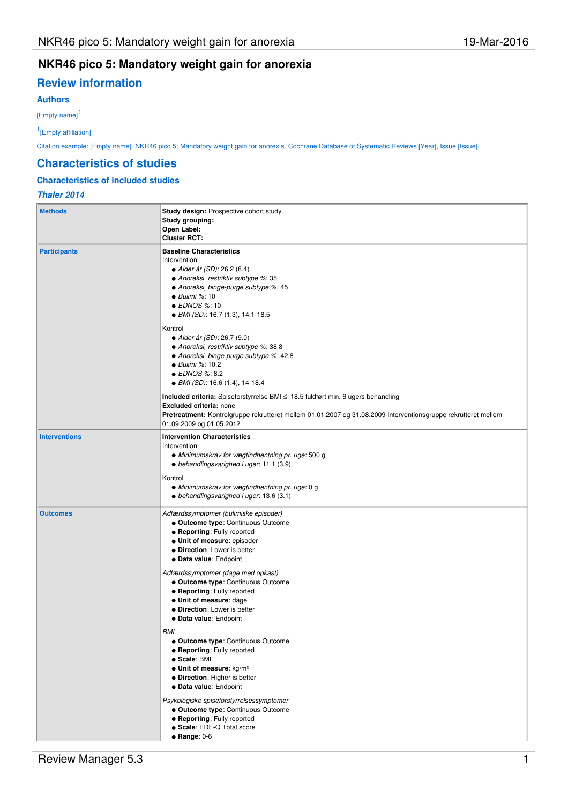## **NKR46 pico 5: Mandatory weight gain for anorexia**

# **Review information**

## **Authors**

[Empty name]<sup>1</sup>

1 [Empty affiliation]

Citation example: [Empty name]. NKR46 pico 5: Mandatory weight gain for anorexia. Cochrane Database of Systematic Reviews [Year], Issue [Issue].

### **Characteristics of studies**

### **Characteristics of included studies**

## **Thaler 2014**

| <b>Methods</b>       | Study design: Prospective cohort study<br>Study grouping:<br>Open Label:<br><b>Cluster RCT:</b>                                                                                                                                                                                                                                                                                                                                                                                                                                                                                                                                                                                                                                                                                                        |
|----------------------|--------------------------------------------------------------------------------------------------------------------------------------------------------------------------------------------------------------------------------------------------------------------------------------------------------------------------------------------------------------------------------------------------------------------------------------------------------------------------------------------------------------------------------------------------------------------------------------------------------------------------------------------------------------------------------------------------------------------------------------------------------------------------------------------------------|
| <b>Participants</b>  | <b>Baseline Characteristics</b><br>Intervention<br>• Alder år (SD): 26.2 (8.4)<br>• Anoreksi, restriktiv subtype %: 35<br>• Anoreksi, binge-purge subtype %: 45<br>$\bullet$ Bulimi %: 10<br>● EDNOS %: 10<br>• BMI (SD): 16.7 (1.3), 14.1-18.5                                                                                                                                                                                                                                                                                                                                                                                                                                                                                                                                                        |
|                      | Kontrol<br>• Alder år (SD): 26.7 (9.0)<br>• Anoreksi, restriktiv subtype %: 38.8<br>• Anoreksi, binge-purge subtype %: 42.8<br>● Bulimi %: 10.2<br>● EDNOS %: 8.2<br>$\bullet$ BMI (SD): 16.6 (1.4), 14-18.4                                                                                                                                                                                                                                                                                                                                                                                                                                                                                                                                                                                           |
|                      | Included criteria: Spiseforstyrrelse BMI ≤ 18.5 fuldført min. 6 ugers behandling<br>Excluded criteria: none<br>Pretreatment: Kontrolgruppe rekrutteret mellem 01.01.2007 og 31.08.2009 Interventionsgruppe rekrutteret mellem<br>01.09.2009 og 01.05.2012                                                                                                                                                                                                                                                                                                                                                                                                                                                                                                                                              |
| <b>Interventions</b> | <b>Intervention Characteristics</b><br>Intervention<br>· Minimumskrav for vægtindhentning pr. uge: 500 g<br>• behandlingsvarighed i uger: 11.1 (3.9)<br>Kontrol<br>• Minimumskrav for vægtindhentning pr. uge: 0 g<br>$\bullet$ behandlingsvarighed i uger: 13.6 (3.1)                                                                                                                                                                                                                                                                                                                                                                                                                                                                                                                                 |
| <b>Outcomes</b>      | Adfærdssymptomer (bulimiske episoder)<br>· Outcome type: Continuous Outcome<br>• Reporting: Fully reported<br>· Unit of measure: episoder<br>• Direction: Lower is better<br>• Data value: Endpoint<br>Adfærdssymptomer (dage med opkast)<br>• Outcome type: Continuous Outcome<br><b>• Reporting: Fully reported</b><br>· Unit of measure: dage<br>• Direction: Lower is better<br>• Data value: Endpoint<br>BMI<br>• Outcome type: Continuous Outcome<br><b>• Reporting: Fully reported</b><br>• Scale: BMI<br>$\bullet$ Unit of measure: kg/m <sup>2</sup><br>· Direction: Higher is better<br>· Data value: Endpoint<br>Psykologiske spiseforstyrrelsessymptomer<br>• Outcome type: Continuous Outcome<br><b>• Reporting: Fully reported</b><br>• Scale: EDE-Q Total score<br>$\bullet$ Range: 0-6 |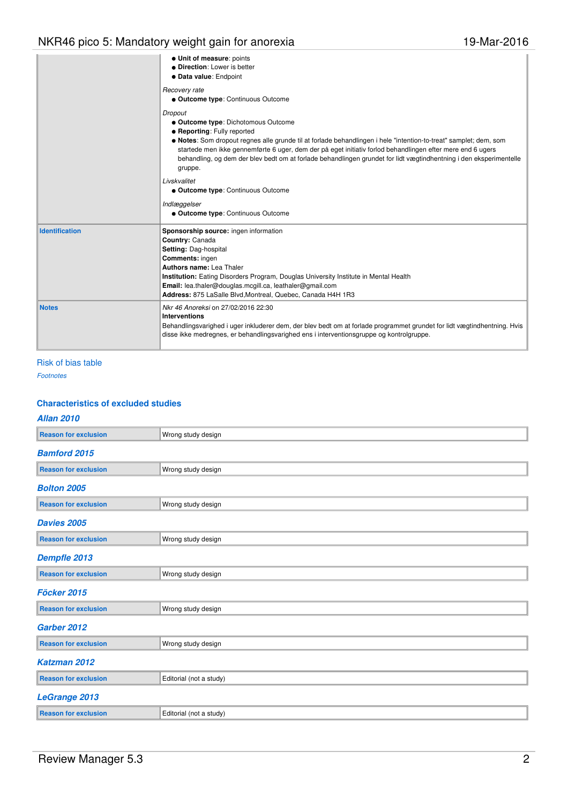|                       | · Unit of measure: points<br>• Direction: Lower is better<br>· Data value: Endpoint                                                                                                                                                                                                                                                                                                                                                                      |
|-----------------------|----------------------------------------------------------------------------------------------------------------------------------------------------------------------------------------------------------------------------------------------------------------------------------------------------------------------------------------------------------------------------------------------------------------------------------------------------------|
|                       | Recovery rate<br><b>. Outcome type: Continuous Outcome</b>                                                                                                                                                                                                                                                                                                                                                                                               |
|                       | Dropout<br>• Outcome type: Dichotomous Outcome<br><b>• Reporting: Fully reported</b><br>• Notes: Som dropout regnes alle grunde til at forlade behandlingen i hele "intention-to-treat" samplet; dem, som<br>startede men ikke gennemførte 6 uger, dem der på eget initiativ forlod behandlingen efter mere end 6 ugers<br>behandling, og dem der blev bedt om at forlade behandlingen grundet for lidt vægtindhentning i den eksperimentelle<br>gruppe. |
|                       | Livskvalitet<br><b>. Outcome type: Continuous Outcome</b>                                                                                                                                                                                                                                                                                                                                                                                                |
|                       | Indlæggelser<br><b>. Outcome type: Continuous Outcome</b>                                                                                                                                                                                                                                                                                                                                                                                                |
| <b>Identification</b> | Sponsorship source: ingen information<br>Country: Canada<br>Setting: Dag-hospital<br><b>Comments: ingen</b><br>Authors name: Lea Thaler<br><b>Institution:</b> Eating Disorders Program, Douglas University Institute in Mental Health<br>Email: lea.thaler@douglas.mcgill.ca, leathaler@gmail.com<br>Address: 875 LaSalle Blvd, Montreal, Quebec, Canada H4H 1R3                                                                                        |
| <b>Notes</b>          | Nkr 46 Anoreksi on 27/02/2016 22:30<br><b>Interventions</b><br>Behandlingsvarighed i uger inkluderer dem, der blev bedt om at forlade programmet grundet for lidt vægtindhentning. Hvis<br>disse ikke medregnes, er behandlingsvarighed ens i interventionsgruppe og kontrolgruppe.                                                                                                                                                                      |

## Risk of bias table

Footnotes

## **Characteristics of excluded studies**

| <b>Allan 2010</b>           |                         |  |
|-----------------------------|-------------------------|--|
| <b>Reason for exclusion</b> | Wrong study design      |  |
| <b>Bamford 2015</b>         |                         |  |
| <b>Reason for exclusion</b> | Wrong study design      |  |
| <b>Bolton 2005</b>          |                         |  |
| <b>Reason for exclusion</b> | Wrong study design      |  |
| <b>Davies 2005</b>          |                         |  |
| <b>Reason for exclusion</b> | Wrong study design      |  |
| Dempfle 2013                |                         |  |
| <b>Reason for exclusion</b> | Wrong study design      |  |
| Föcker 2015                 |                         |  |
| <b>Reason for exclusion</b> | Wrong study design      |  |
| Garber 2012                 |                         |  |
| <b>Reason for exclusion</b> | Wrong study design      |  |
| Katzman 2012                |                         |  |
| <b>Reason for exclusion</b> | Editorial (not a study) |  |
| <b>LeGrange 2013</b>        |                         |  |
| <b>Reason for exclusion</b> | Editorial (not a study) |  |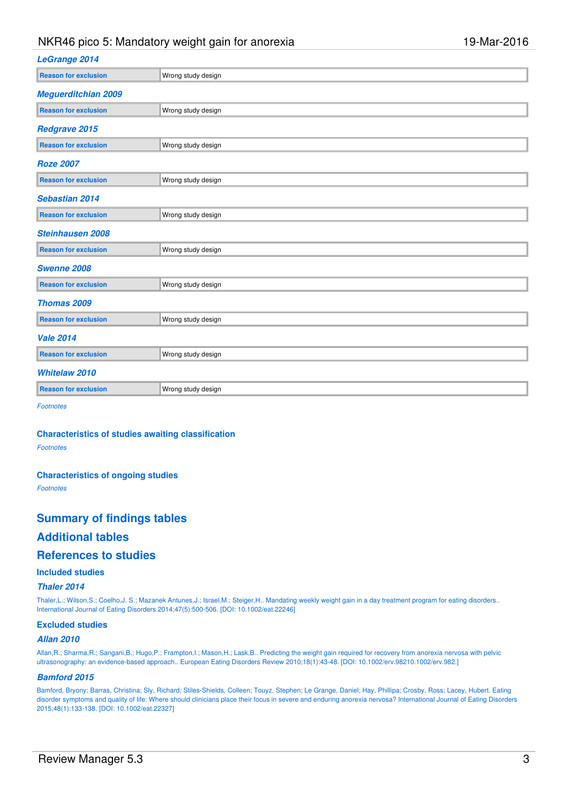## NKR46 pico 5: Mandatory weight gain for anorexia 19-Mar-2016

| <b>LeGrange 2014</b>        |                    |
|-----------------------------|--------------------|
| <b>Reason for exclusion</b> | Wrong study design |
| <b>Meguerditchian 2009</b>  |                    |
| <b>Reason for exclusion</b> | Wrong study design |
| Redgrave 2015               |                    |
| <b>Reason for exclusion</b> | Wrong study design |
| <b>Roze 2007</b>            |                    |
| <b>Reason for exclusion</b> | Wrong study design |
| <b>Sebastian 2014</b>       |                    |
| <b>Reason for exclusion</b> | Wrong study design |
| <b>Steinhausen 2008</b>     |                    |
| <b>Reason for exclusion</b> | Wrong study design |
| Swenne 2008                 |                    |
| <b>Reason for exclusion</b> | Wrong study design |
| Thomas 2009                 |                    |
| <b>Reason for exclusion</b> | Wrong study design |
| <b>Vale 2014</b>            |                    |
| <b>Reason for exclusion</b> | Wrong study design |
| <b>Whitelaw 2010</b>        |                    |
| <b>Reason for exclusion</b> | Wrong study design |

Footnotes

#### **Characteristics of studies awaiting classification**

Footnotes

#### **Characteristics of ongoing studies**

Footnotes

## **Summary of findings tables**

## **Additional tables**

## **References to studies**

### **Included studies**

#### **Thaler 2014**

Thaler,L.; Wilson,S.; Coelho,J. S.; Mazanek Antunes,J.; Israel,M.; Steiger,H.. Mandating weekly weight gain in a day treatment program for eating disorders.. International Journal of Eating Disorders 2014;47(5):500-506. [DOI: 10.1002/eat.22246]

#### **Excluded studies**

#### **Allan 2010**

Allan,R.; Sharma,R.; Sangani,B.; Hugo,P.; Frampton,I.; Mason,H.; Lask,B.. Predicting the weight gain required for recovery from anorexia nervosa with pelvic ultrasonography: an evidence-based approach.. European Eating Disorders Review 2010;18(1):43-48. [DOI: 10.1002/erv.98210.1002/erv.982.]

#### **Bamford 2015**

Bamford, Bryony; Barras, Christina; Sly, Richard; Stiles Shields, Colleen; Touyz, Stephen; Le Grange, Daniel; Hay, Phillipa; Crosby, Ross; Lacey, Hubert. Eating disorder symptoms and quality of life: Where should clinicians place their focus in severe and enduring anorexia nervosa? International Journal of Eating Disorders 2015;48(1):133-138. [DOI: 10.1002/eat.22327]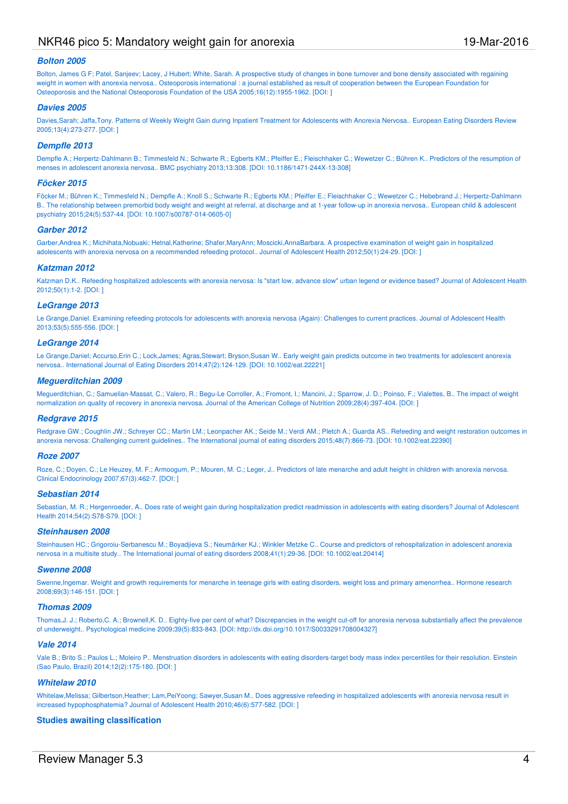## NKR46 pico 5: Mandatory weight gain for anorexia 19-Mar-2016

#### **Bolton 2005**

Bolton, James G F; Patel, Sanjeev; Lacey, J Hubert; White, Sarah. A prospective study of changes in bone turnover and bone density associated with regaining weight in women with anorexia nervosa.. Osteoporosis international : a journal established as result of cooperation between the European Foundation for Osteoporosis and the National Osteoporosis Foundation of the USA 2005;16(12):1955-1962. [DOI: ]

#### **Davies 2005**

Davies,Sarah; Jaffa,Tony. Patterns of Weekly Weight Gain during Inpatient Treatment for Adolescents with Anorexia Nervosa.. European Eating Disorders Review 2005;13(4):273-277. [DOI: ]

#### **Dempfle 2013**

Dempfle A.; Herpertz-Dahlmann B.; Timmesfeld N.; Schwarte R.; Egberts KM.; Pfeiffer E.; Fleischhaker C.; Wewetzer C.; Bühren K.. Predictors of the resumption of menses in adolescent anorexia nervosa.. BMC psychiatry 2013;13:308. [DOI: 10.1186/1471-244X-13-308]

#### **Föcker 2015**

Föcker M.: Bühren K.; Timmesfeld N.; Dempfle A.; Knoll S.; Schwarte R.; Egberts KM.; Pfeiffer E.; Fleischhaker C.; Wewetzer C.; Hebebrand J.; Herpertz-Dahlmann B.. The relationship between premorbid body weight and weight at referral, at discharge and at 1-year follow-up in anorexia nervosa.. European child & adolescent psychiatry 2015;24(5):537-44. [DOI: 10.1007/s00787-014-0605-0]

#### **Garber 2012**

Garber,Andrea K.; Michihata,Nobuaki; Hetnal,Katherine; Shafer,MaryAnn; Moscicki,AnnaBarbara. A prospective examination of weight gain in hospitalized adolescents with anorexia nervosa on a recommended refeeding protocol.. Journal of Adolescent Health 2012;50(1):24-29. [DOI: ]

#### **Katzman 2012**

Katzman D.K.. Refeeding hospitalized adolescents with anorexia nervosa: Is "start low, advance slow" urban legend or evidence based? Journal of Adolescent Health 2012;50(1):1-2. [DOI: ]

#### **LeGrange 2013**

Le Grange,Daniel. Examining refeeding protocols for adolescents with anorexia nervosa (Again): Challenges to current practices. Journal of Adolescent Health 2013;53(5):555-556. [DOI: ]

#### **LeGrange 2014**

Le Grange,Daniel; Accurso,Erin C.; Lock,James; Agras,Stewart; Bryson,Susan W.. Early weight gain predicts outcome in two treatments for adolescent anorexia nervosa.. International Journal of Eating Disorders 2014;47(2):124-129. [DOI: 10.1002/eat.22221]

#### **Meguerditchian 2009**

Meguerditchian, C.; Samuelian-Massat, C.; Valero, R.; Begu-Le Corroller, A.; Fromont, I.; Mancini, J.; Sparrow, J. D.; Poinso, F.; Vialettes, B.. The impact of weight normalization on quality of recovery in anorexia nervosa. Journal of the American College of Nutrition 2009;28(4):397-404. [DOI: ]

#### **Redgrave 2015**

Redgrave GW.; Coughlin JW.; Schreyer CC.; Martin LM.; Leonpacher AK.; Seide M.; Verdi AM.; Pletch A.; Guarda AS.. Refeeding and weight restoration outcomes in anorexia nervosa: Challenging current guidelines.. The International journal of eating disorders 2015;48(7):866-73. [DOI: 10.1002/eat.22390]

#### **Roze 2007**

Roze, C.; Doyen, C.; Le Heuzey, M. F.; Armoogum, P.; Mouren, M. C.; Leger, J., Predictors of late menarche and adult height in children with anorexia nervosa. Clinical Endocrinology 2007;67(3):462-7. [DOI: ]

#### **Sebastian 2014**

Sebastian, M. R.; Hergenroeder, A.. Does rate of weight gain during hospitalization predict readmission in adolescents with eating disorders? Journal of Adolescent Health 2014;54(2):S78-S79. [DOI: ]

#### **Steinhausen 2008**

Steinhausen HC.; Grigoroiu-Serbanescu M.; Boyadjieva S.; Neumärker KJ.; Winkler Metzke C.. Course and predictors of rehospitalization in adolescent anorexia nervosa in a multisite study.. The International journal of eating disorders 2008;41(1):29-36. [DOI: 10.1002/eat.20414]

#### **Swenne 2008**

Swenne,Ingemar. Weight and growth requirements for menarche in teenage girls with eating disorders, weight loss and primary amenorrhea.. Hormone research 2008;69(3):146-151. [DOI: ]

#### **Thomas 2009**

Thomas,J. J.; Roberto,C. A.; Brownell,K. D.. Eighty-five per cent of what? Discrepancies in the weight cut-off for anorexia nervosa substantially affect the prevalence of underweight.. Psychological medicine 2009;39(5):833-843. [DOI: http://dx.doi.org/10.1017/S0033291708004327]

#### **Vale 2014**

Vale B.; Brito S.; Paulos L.; Moleiro P.. Menstruation disorders in adolescents with eating disorders-target body mass index percentiles for their resolution. Einstein (Sao Paulo, Brazil) 2014;12(2):175-180. [DOI: ]

#### **Whitelaw 2010**

Whitelaw,Melissa; Gilbertson,Heather; Lam,PeiYoong; Sawyer,Susan M.. Does aggressive refeeding in hospitalized adolescents with anorexia nervosa result in increased hypophosphatemia? Journal of Adolescent Health 2010;46(6):577-582. [DOI: ]

#### **Studies awaiting classification**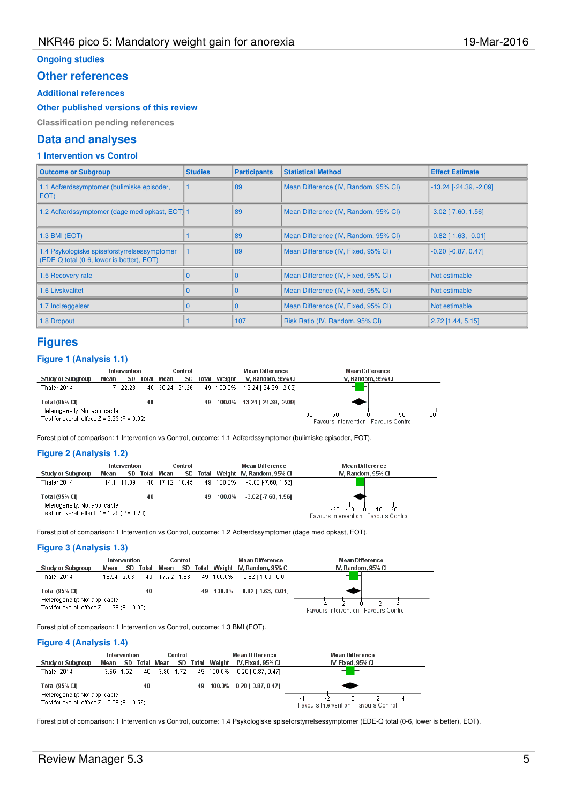### **Ongoing studies**

### **Other references**

### **Additional references**

**Other published versions of this review**

**Classification pending references**

## **Data and analyses**

## **1 Intervention vs Control**

| <b>Outcome or Subgroup</b>                                                                | <b>Studies</b> | <b>Participants</b> | <b>Statistical Method</b>            | <b>Effect Estimate</b>          |
|-------------------------------------------------------------------------------------------|----------------|---------------------|--------------------------------------|---------------------------------|
| 1.1 Adfærdssymptomer (bulimiske episoder,<br>EOT)                                         |                | 89                  | Mean Difference (IV, Random, 95% CI) | $-13.24$ [ $-24.39$ , $-2.09$ ] |
| 1.2 Adfærdssymptomer (dage med opkast, EOT) 1                                             |                | 89                  | Mean Difference (IV, Random, 95% CI) | $-3.02$ [ $-7.60, 1.56$ ]       |
| 1.3 BMI (EOT)                                                                             |                | 89                  | Mean Difference (IV, Random, 95% CI) | $-0.82$ [ $-1.63$ , $-0.01$ ]   |
| 1.4 Psykologiske spiseforstyrrelsessymptomer<br>(EDE-Q total (0-6, lower is better), EOT) |                | 89                  | Mean Difference (IV, Fixed, 95% CI)  | $-0.20$ $[-0.87, 0.47]$         |
| 1.5 Recovery rate                                                                         |                | $\Omega$            | Mean Difference (IV, Fixed, 95% CI)  | Not estimable                   |
| <b>1.6 Livskvalitet</b>                                                                   |                | $\mathbf{0}$        | Mean Difference (IV, Fixed, 95% CI)  | Not estimable                   |
| 1.7 Indlæggelser                                                                          |                | $\mathbf{0}$        | Mean Difference (IV, Fixed, 95% CI)  | Not estimable                   |
| 1.8 Dropout                                                                               |                | 107                 | Risk Ratio (IV, Random, 95% CI)      | $2.72$ [1.44, 5.15]             |

## **Figures**

#### **Figure 1 (Analysis 1.1)**



Forest plot of comparison: 1 Intervention vs Control, outcome: 1.1 Adfærdssymptomer (bulimiske episoder, EOT).

#### **Figure 2 (Analysis 1.2)**

|                                                                                                   | Intervention |            |          | Control        |  |  | Mean Difference | Mean Difference                    |                                                                   |
|---------------------------------------------------------------------------------------------------|--------------|------------|----------|----------------|--|--|-----------------|------------------------------------|-------------------------------------------------------------------|
| <b>Study or Subgroup</b>                                                                          | Mean         |            | SD Total | Mean           |  |  |                 | SD Total Weight IV, Random, 95% CI | IV. Random, 95% CI                                                |
| Thaler 2014                                                                                       |              | 14.1 11.39 |          | 40 17.12 10.45 |  |  | 49 100.0%       | $-3.02$ F7.60. 1.561               |                                                                   |
| Total (95% CI)<br>Heterogeneity: Not applicable<br>Test for overall effect: $Z = 1.29$ (P = 0.20) |              |            | 40       |                |  |  | 49 100.0%       | $-3.02$ [ $-7.60$ , 1.56]          | -20-<br>20<br>10<br>$-10$<br>Favours Intervention Favours Control |

Forest plot of comparison: 1 Intervention vs Control, outcome: 1.2 Adfærdssymptomer (dage med opkast, EOT).

#### **Figure 3 (Analysis 1.3)**

|                                                                                                   | Intervention<br>Control |     |       |                | Mean Difference | <b>Mean Difference</b> |           |                                 |                                      |
|---------------------------------------------------------------------------------------------------|-------------------------|-----|-------|----------------|-----------------|------------------------|-----------|---------------------------------|--------------------------------------|
| <b>Study or Subgroup</b>                                                                          | Mean                    | SD. | Total | Mean           | SD              |                        |           | Total Weight IV, Random, 95% Cl | IV. Random, 95% CI                   |
| Thaler 2014                                                                                       | $-18.54$ 2.03           |     |       | 40 -17.72 1.83 |                 |                        | 49 100.0% | $-0.82$ F1.63. $-0.011$         |                                      |
| Total (95% CI)<br>Heterogeneity: Not applicable<br>Test for overall effect: $Z = 1.98$ (P = 0.05) |                         |     | 40    |                |                 | 49                     | 100.0%    | $-0.82$ [ $-1.63$ , $-0.01$ ]   | Favours Intervention Favours Control |

Forest plot of comparison: 1 Intervention vs Control, outcome: 1.3 BMI (EOT).

#### **Figure 4 (Analysis 1.4)**

|                                                                                                   | Intervention<br>Control |           |     |               | <b>Mean Difference</b> | <b>Mean Difference</b> |                               |                                             |
|---------------------------------------------------------------------------------------------------|-------------------------|-----------|-----|---------------|------------------------|------------------------|-------------------------------|---------------------------------------------|
| <b>Study or Subgroup</b>                                                                          | Mean                    |           |     | SD Total Mean |                        | SD Total Weight        | IV. Fixed. 95% CI             | IV. Fixed, 95% CI                           |
| Thaler 2014                                                                                       |                         | 3.66 1.52 | 40. | 3.86 1.72     |                        |                        | 49 100.0% -0.20 1-0.87, 0.471 |                                             |
| Total (95% CI)<br>Heterogeneity: Not applicable<br>Test for overall effect: $Z = 0.58$ (P = 0.56) |                         |           | 40  |               | 49                     |                        | 100.0% -0.20 [-0.87, 0.47]    | - 4<br>Favours Intervention Favours Control |

Forest plot of comparison: 1 Intervention vs Control, outcome: 1.4 Psykologiske spiseforstyrrelsessymptomer (EDE-Q total (0-6, lower is better), EOT).